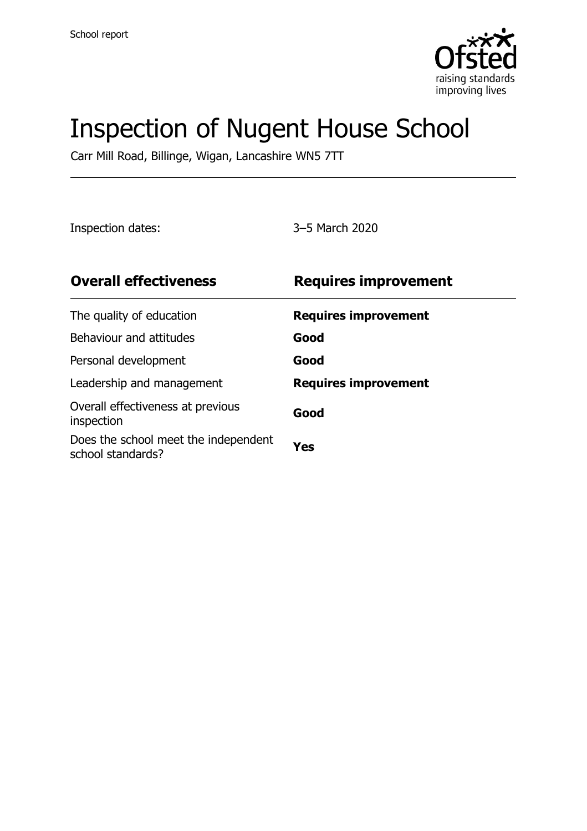

# Inspection of Nugent House School

Carr Mill Road, Billinge, Wigan, Lancashire WN5 7TT

Inspection dates: 3–5 March 2020

| <b>Overall effectiveness</b>                              | <b>Requires improvement</b> |
|-----------------------------------------------------------|-----------------------------|
| The quality of education                                  | <b>Requires improvement</b> |
| Behaviour and attitudes                                   | Good                        |
| Personal development                                      | Good                        |
| Leadership and management                                 | <b>Requires improvement</b> |
| Overall effectiveness at previous<br>inspection           | Good                        |
| Does the school meet the independent<br>school standards? | Yes                         |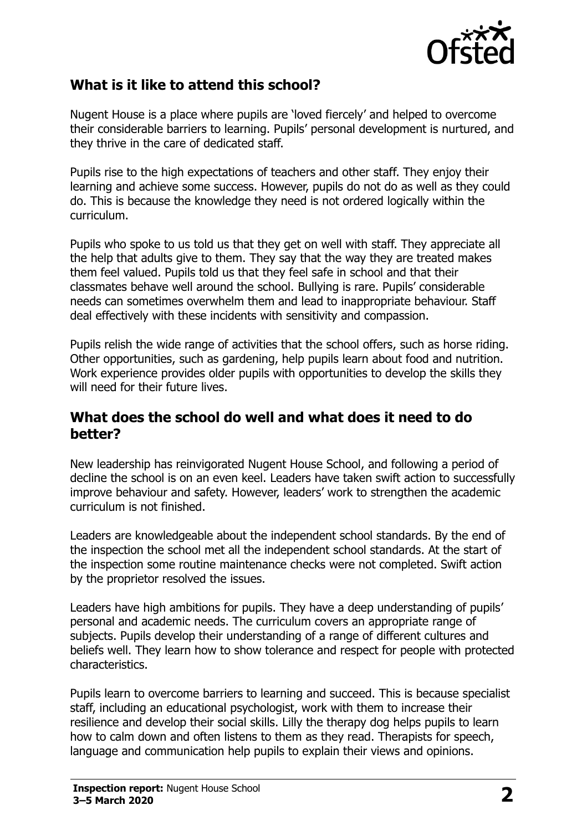

#### **What is it like to attend this school?**

Nugent House is a place where pupils are 'loved fiercely' and helped to overcome their considerable barriers to learning. Pupils' personal development is nurtured, and they thrive in the care of dedicated staff.

Pupils rise to the high expectations of teachers and other staff. They enjoy their learning and achieve some success. However, pupils do not do as well as they could do. This is because the knowledge they need is not ordered logically within the curriculum.

Pupils who spoke to us told us that they get on well with staff. They appreciate all the help that adults give to them. They say that the way they are treated makes them feel valued. Pupils told us that they feel safe in school and that their classmates behave well around the school. Bullying is rare. Pupils' considerable needs can sometimes overwhelm them and lead to inappropriate behaviour. Staff deal effectively with these incidents with sensitivity and compassion.

Pupils relish the wide range of activities that the school offers, such as horse riding. Other opportunities, such as gardening, help pupils learn about food and nutrition. Work experience provides older pupils with opportunities to develop the skills they will need for their future lives.

#### **What does the school do well and what does it need to do better?**

New leadership has reinvigorated Nugent House School, and following a period of decline the school is on an even keel. Leaders have taken swift action to successfully improve behaviour and safety. However, leaders' work to strengthen the academic curriculum is not finished.

Leaders are knowledgeable about the independent school standards. By the end of the inspection the school met all the independent school standards. At the start of the inspection some routine maintenance checks were not completed. Swift action by the proprietor resolved the issues.

Leaders have high ambitions for pupils. They have a deep understanding of pupils' personal and academic needs. The curriculum covers an appropriate range of subjects. Pupils develop their understanding of a range of different cultures and beliefs well. They learn how to show tolerance and respect for people with protected characteristics.

Pupils learn to overcome barriers to learning and succeed. This is because specialist staff, including an educational psychologist, work with them to increase their resilience and develop their social skills. Lilly the therapy dog helps pupils to learn how to calm down and often listens to them as they read. Therapists for speech, language and communication help pupils to explain their views and opinions.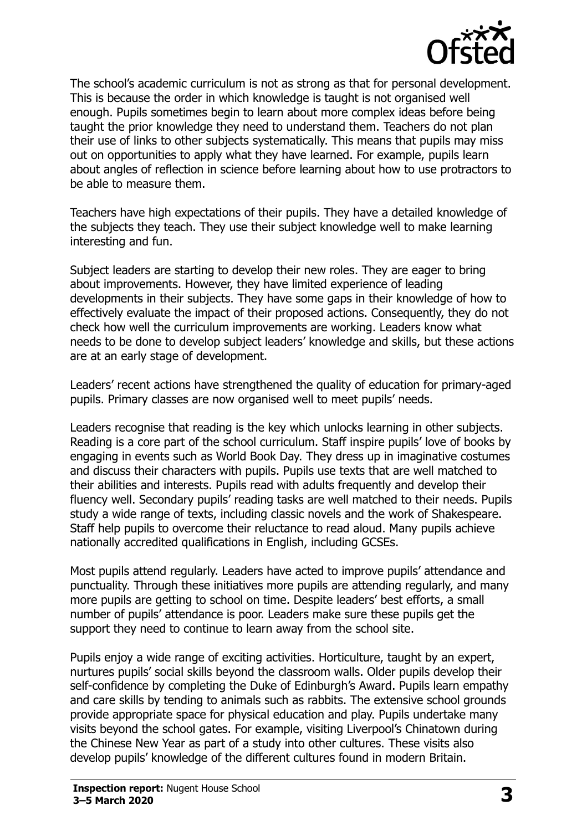

The school's academic curriculum is not as strong as that for personal development. This is because the order in which knowledge is taught is not organised well enough. Pupils sometimes begin to learn about more complex ideas before being taught the prior knowledge they need to understand them. Teachers do not plan their use of links to other subjects systematically. This means that pupils may miss out on opportunities to apply what they have learned. For example, pupils learn about angles of reflection in science before learning about how to use protractors to be able to measure them.

Teachers have high expectations of their pupils. They have a detailed knowledge of the subjects they teach. They use their subject knowledge well to make learning interesting and fun.

Subject leaders are starting to develop their new roles. They are eager to bring about improvements. However, they have limited experience of leading developments in their subjects. They have some gaps in their knowledge of how to effectively evaluate the impact of their proposed actions. Consequently, they do not check how well the curriculum improvements are working. Leaders know what needs to be done to develop subject leaders' knowledge and skills, but these actions are at an early stage of development.

Leaders' recent actions have strengthened the quality of education for primary-aged pupils. Primary classes are now organised well to meet pupils' needs.

Leaders recognise that reading is the key which unlocks learning in other subjects. Reading is a core part of the school curriculum. Staff inspire pupils' love of books by engaging in events such as World Book Day. They dress up in imaginative costumes and discuss their characters with pupils. Pupils use texts that are well matched to their abilities and interests. Pupils read with adults frequently and develop their fluency well. Secondary pupils' reading tasks are well matched to their needs. Pupils study a wide range of texts, including classic novels and the work of Shakespeare. Staff help pupils to overcome their reluctance to read aloud. Many pupils achieve nationally accredited qualifications in English, including GCSEs.

Most pupils attend regularly. Leaders have acted to improve pupils' attendance and punctuality. Through these initiatives more pupils are attending regularly, and many more pupils are getting to school on time. Despite leaders' best efforts, a small number of pupils' attendance is poor. Leaders make sure these pupils get the support they need to continue to learn away from the school site.

Pupils enjoy a wide range of exciting activities. Horticulture, taught by an expert, nurtures pupils' social skills beyond the classroom walls. Older pupils develop their self-confidence by completing the Duke of Edinburgh's Award. Pupils learn empathy and care skills by tending to animals such as rabbits. The extensive school grounds provide appropriate space for physical education and play. Pupils undertake many visits beyond the school gates. For example, visiting Liverpool's Chinatown during the Chinese New Year as part of a study into other cultures. These visits also develop pupils' knowledge of the different cultures found in modern Britain.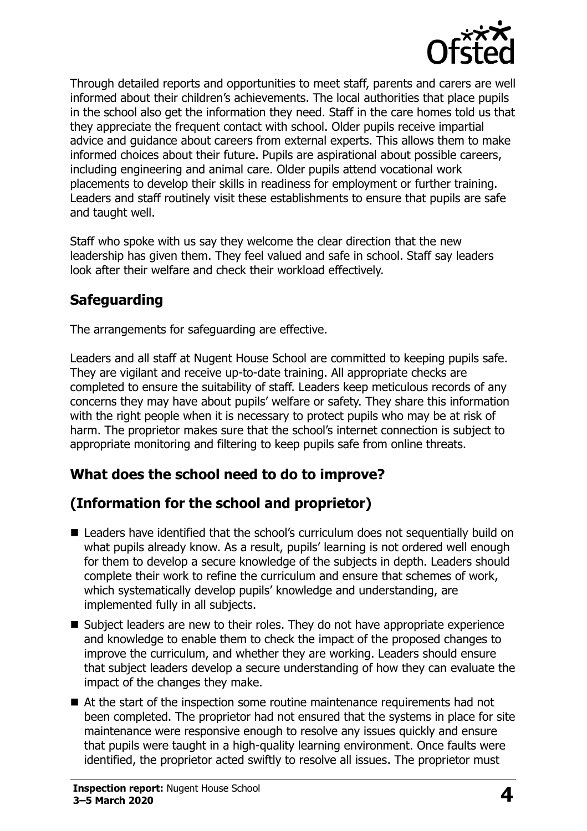

Through detailed reports and opportunities to meet staff, parents and carers are well informed about their children's achievements. The local authorities that place pupils in the school also get the information they need. Staff in the care homes told us that they appreciate the frequent contact with school. Older pupils receive impartial advice and guidance about careers from external experts. This allows them to make informed choices about their future. Pupils are aspirational about possible careers, including engineering and animal care. Older pupils attend vocational work placements to develop their skills in readiness for employment or further training. Leaders and staff routinely visit these establishments to ensure that pupils are safe and taught well.

Staff who spoke with us say they welcome the clear direction that the new leadership has given them. They feel valued and safe in school. Staff say leaders look after their welfare and check their workload effectively.

## **Safeguarding**

The arrangements for safeguarding are effective.

Leaders and all staff at Nugent House School are committed to keeping pupils safe. They are vigilant and receive up-to-date training. All appropriate checks are completed to ensure the suitability of staff. Leaders keep meticulous records of any concerns they may have about pupils' welfare or safety. They share this information with the right people when it is necessary to protect pupils who may be at risk of harm. The proprietor makes sure that the school's internet connection is subject to appropriate monitoring and filtering to keep pupils safe from online threats.

### **What does the school need to do to improve?**

## **(Information for the school and proprietor)**

- Leaders have identified that the school's curriculum does not sequentially build on what pupils already know. As a result, pupils' learning is not ordered well enough for them to develop a secure knowledge of the subjects in depth. Leaders should complete their work to refine the curriculum and ensure that schemes of work, which systematically develop pupils' knowledge and understanding, are implemented fully in all subjects.
- Subject leaders are new to their roles. They do not have appropriate experience and knowledge to enable them to check the impact of the proposed changes to improve the curriculum, and whether they are working. Leaders should ensure that subject leaders develop a secure understanding of how they can evaluate the impact of the changes they make.
- At the start of the inspection some routine maintenance requirements had not been completed. The proprietor had not ensured that the systems in place for site maintenance were responsive enough to resolve any issues quickly and ensure that pupils were taught in a high-quality learning environment. Once faults were identified, the proprietor acted swiftly to resolve all issues. The proprietor must

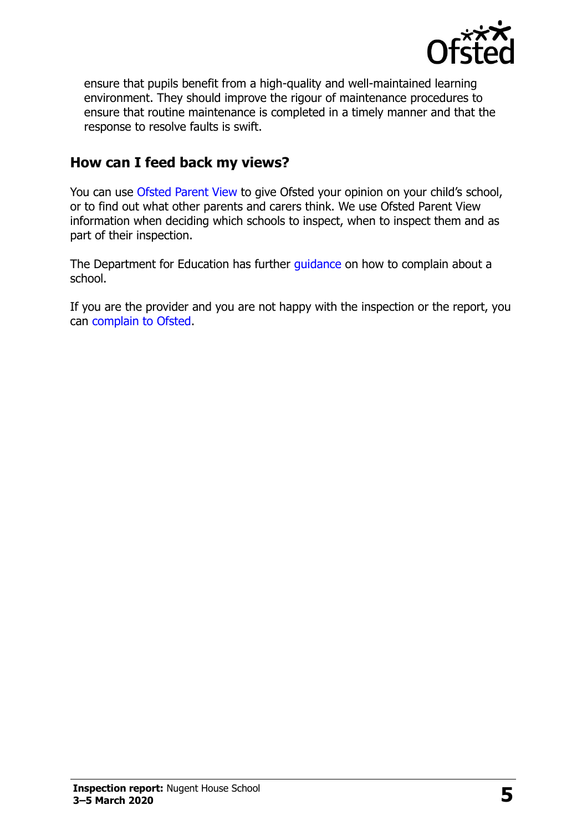

ensure that pupils benefit from a high-quality and well-maintained learning environment. They should improve the rigour of maintenance procedures to ensure that routine maintenance is completed in a timely manner and that the response to resolve faults is swift.

#### **How can I feed back my views?**

You can use [Ofsted Parent View](http://parentview.ofsted.gov.uk/) to give Ofsted your opinion on your child's school, or to find out what other parents and carers think. We use Ofsted Parent View information when deciding which schools to inspect, when to inspect them and as part of their inspection.

The Department for Education has further quidance on how to complain about a school.

If you are the provider and you are not happy with the inspection or the report, you can [complain to Ofsted.](http://www.gov.uk/complain-ofsted-report)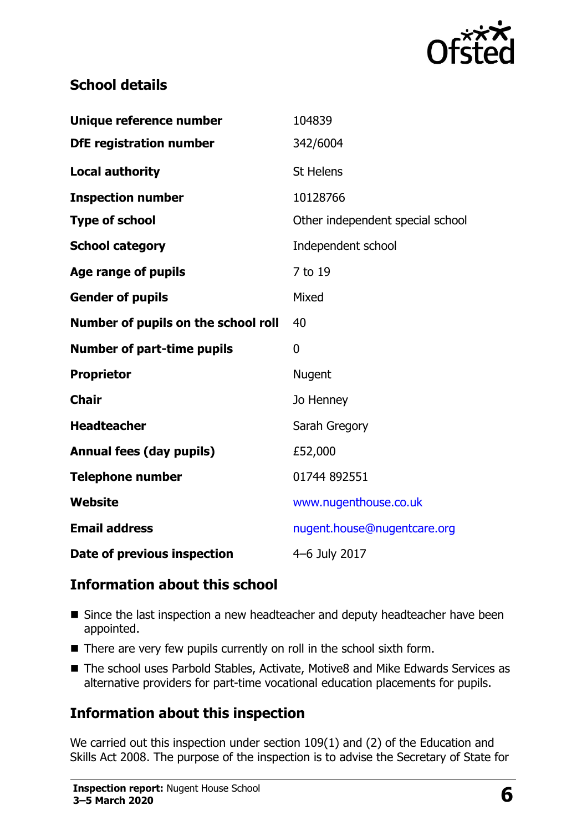

### **School details**

| Unique reference number             | 104839                           |
|-------------------------------------|----------------------------------|
| <b>DfE registration number</b>      | 342/6004                         |
| <b>Local authority</b>              | <b>St Helens</b>                 |
| <b>Inspection number</b>            | 10128766                         |
| <b>Type of school</b>               | Other independent special school |
| <b>School category</b>              | Independent school               |
| Age range of pupils                 | 7 to 19                          |
| <b>Gender of pupils</b>             | Mixed                            |
| Number of pupils on the school roll | 40                               |
|                                     |                                  |
| <b>Number of part-time pupils</b>   | $\mathbf{0}$                     |
| <b>Proprietor</b>                   | <b>Nugent</b>                    |
| <b>Chair</b>                        | Jo Henney                        |
| <b>Headteacher</b>                  | Sarah Gregory                    |
| <b>Annual fees (day pupils)</b>     | £52,000                          |
| <b>Telephone number</b>             | 01744 892551                     |
| <b>Website</b>                      | www.nugenthouse.co.uk            |
| <b>Email address</b>                | nugent.house@nugentcare.org      |

#### **Information about this school**

- Since the last inspection a new headteacher and deputy headteacher have been appointed.
- There are very few pupils currently on roll in the school sixth form.
- The school uses Parbold Stables, Activate, Motive8 and Mike Edwards Services as alternative providers for part-time vocational education placements for pupils.

## **Information about this inspection**

We carried out this inspection under section 109(1) and (2) of the Education and Skills Act 2008. The purpose of the inspection is to advise the Secretary of State for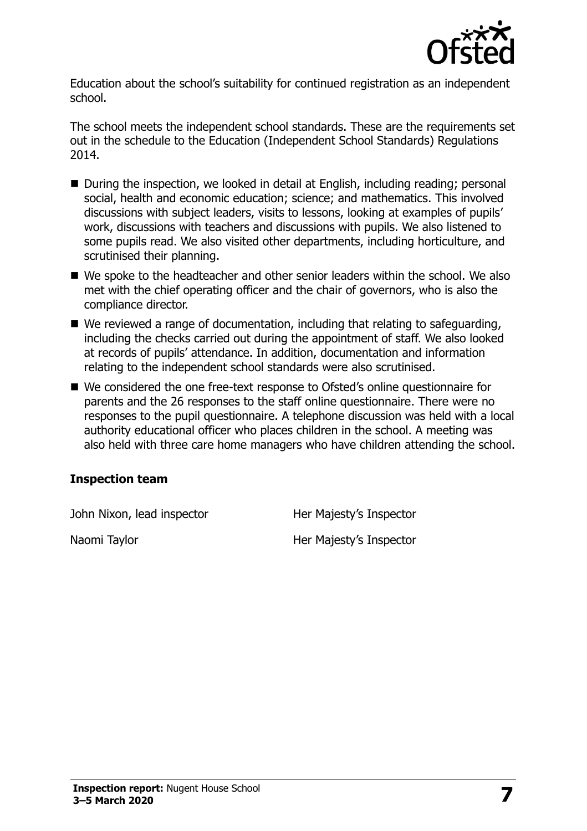

Education about the school's suitability for continued registration as an independent school.

The school meets the independent school standards. These are the requirements set out in the schedule to the Education (Independent School Standards) Regulations 2014.

- During the inspection, we looked in detail at English, including reading; personal social, health and economic education; science; and mathematics. This involved discussions with subject leaders, visits to lessons, looking at examples of pupils' work, discussions with teachers and discussions with pupils. We also listened to some pupils read. We also visited other departments, including horticulture, and scrutinised their planning.
- We spoke to the headteacher and other senior leaders within the school. We also met with the chief operating officer and the chair of governors, who is also the compliance director.
- $\blacksquare$  We reviewed a range of documentation, including that relating to safeguarding, including the checks carried out during the appointment of staff. We also looked at records of pupils' attendance. In addition, documentation and information relating to the independent school standards were also scrutinised.
- We considered the one free-text response to Ofsted's online questionnaire for parents and the 26 responses to the staff online questionnaire. There were no responses to the pupil questionnaire. A telephone discussion was held with a local authority educational officer who places children in the school. A meeting was also held with three care home managers who have children attending the school.

#### **Inspection team**

John Nixon, lead inspector **Her Majesty's Inspector** 

Naomi Taylor **National State of Taylor** Her Majesty's Inspector